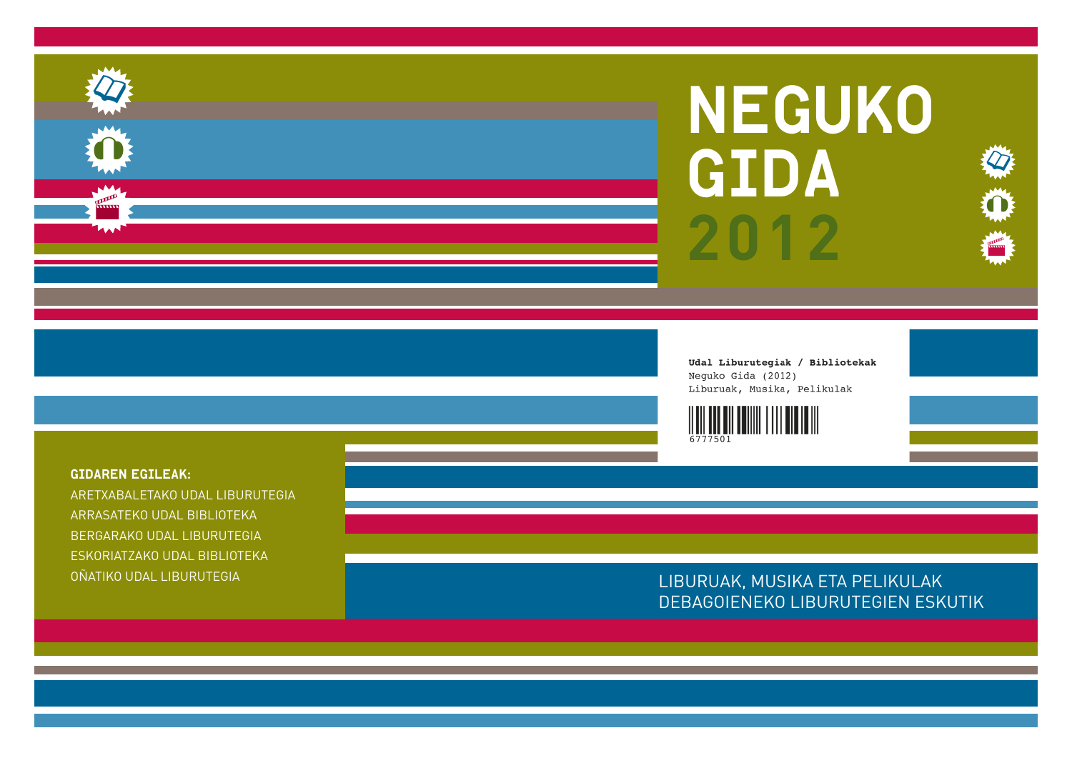# NEGUKO GIDA **2012**

**Record** 

 $\bm{\mathcal{Q}}$ 

 $\bf{O}$ 

Udal Liburutegiak / Bibliotekak Neguko Gida (2012) Liburuak, Musika, Pelikulak



## LIBURUAK, MUSIKA ETA PELIKULAK DEBAGOIENEKO LIBURUTEGIEN ESKUTIK

GIDAREN EGILEAK:

ARETXABALETAKO UDAL LIBURUTEGIA ARRASATEKO UDAL BIBLIOTEKABERGARAKO UDAL LIBURUTEGIA ESKORIATZAKO UDAL BIBLIOTEKA OÑATIKO UDAL LIBURUTEGIA





ando<br>Alimi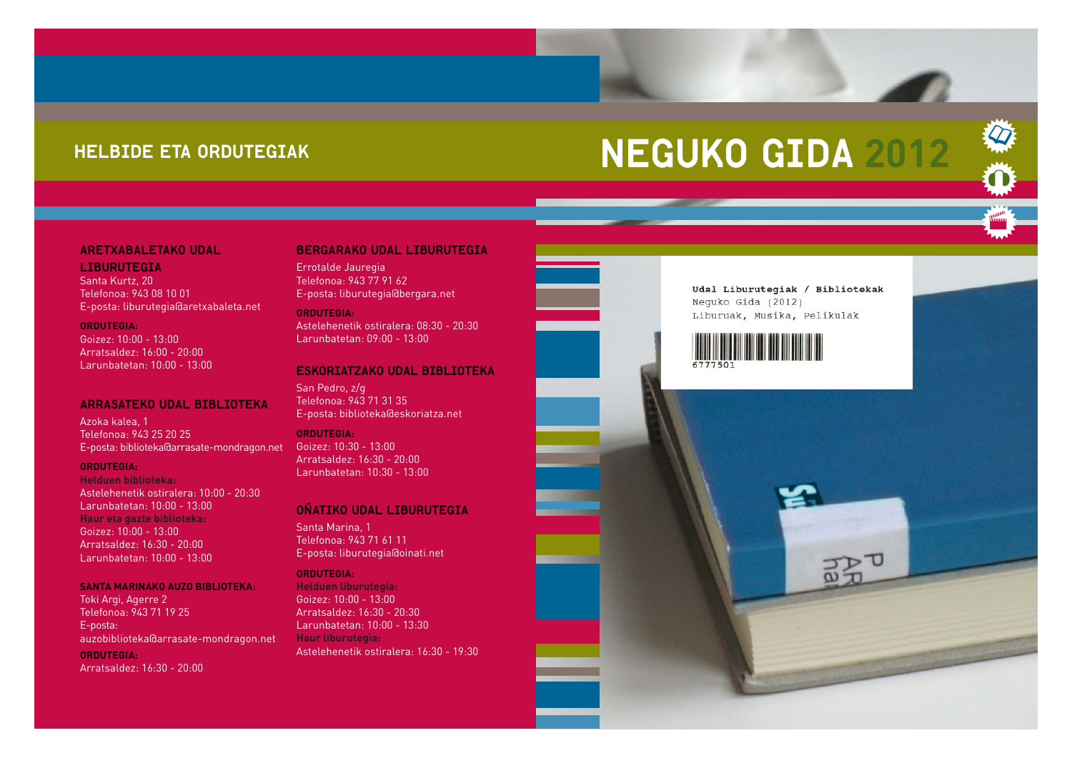## HELBIDE ETA ORDUTEGIAK

## NEGUKO GIDA **2012**



LIBURUTEGIASanta Kurtz, 20 Telefonoa: 943 08 10 01E-posta: liburutegia@aretxabaleta.net

#### **ORDUTEGIA:**

Goizez: 10:00 - 13:00Arratsaldez: 16:00 - 20:00Larunbatetan: 10:00 - 13:00

#### ARRASATEKO UDAL BIBLIOTEKA

Azoka kalea, 1 Telefonoa: 943 25 20 25E-posta: biblioteka@arrasate-mondragon.net

#### **ORDUTEGIA:**

**Helduen biblioteka:**Astelehenetik ostiralera: 10:00 - 20:30 Larunbatetan: 10:00 - 13:00**Haur eta gazte biblioteka:** Goizez: 10:00 - 13:00Arratsaldez: 16:30 - 20:00Larunbatetan: 10:00 - 13:00

#### **SANTA MARINAKO AUZO BIBLIOTEKA:**

Toki Argi, Agerre 2 Telefonoa: 943 71 19 25 E-posta: auzobiblioteka@arrasate-mondragon.net **ORDUTEGIA:** Arratsaldez: 16:30 - 20:00

#### BERGARAKO UDAL LIBURUTEGIA

Errotalde Jauregia Telefonoa: 943 77 91 62 E-posta: liburutegia@bergara.net

**ORDUTEGIA:**Astelehenetik ostiralera: 08:30 - 20:30 Larunbatetan: 09:00 - 13:00

#### ESKORIATZAKO UDAL BIBLIOTEKA

San Pedro, z/g Telefonoa: 943 71 31 35E-posta: biblioteka@eskoriatza.net

**ORDUTEGIA:**Goizez: 10:30 - 13:00Arratsaldez: 16:30 - 20:00 Larunbatetan: 10:30 - 13:00

#### OÑATIKO UDAL LIBURUTEGIA

Santa Marina, 1 Telefonoa: 943 71 61 11 E-posta: liburutegia@oinati.net

#### **ORDUTEGIA:**

**Helduen liburutegia:** Goizez: 10:00 - 13:00Arratsaldez: 16:30 - 20:30 Larunbatetan: 10:00 - 13:30 **Haur liburutegia:**  Astelehenetik ostiralera: 16:30 - 19:30



Udal Liburutegiak / Bibliotekak Neguko Gida (2012) Liburuak, Musika, Pelikulak

**Rappy** 

 $\bm{\mathcal{Q}}$ 

 $\bf{O}$ 



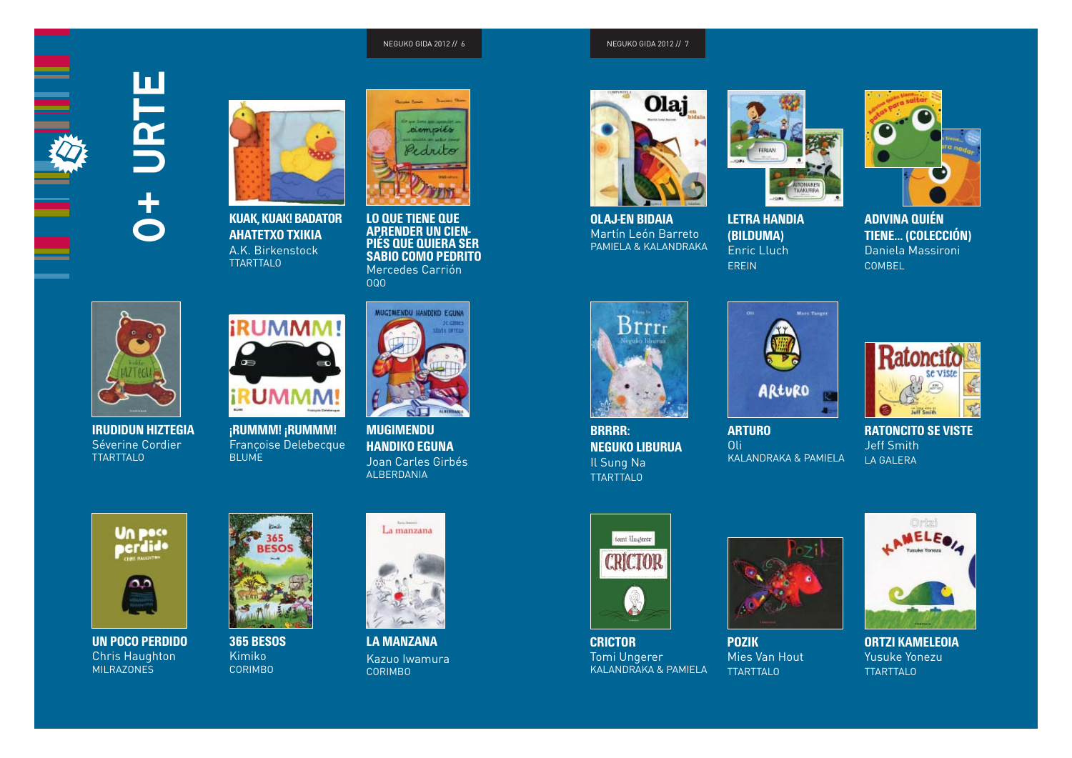#### NEGUKO GIDA 2012 // 7





**KUAK, KUAK! BADATOR AHATETXO TXIKIA** A.K. BirkenstockTTARTTALO



**LO QUE TIENE QUE APRENDER UN CIEN-PIÉS QUE QUIERA SER SABIO COMO PEDRITO**Mercedes Carrión OQO



**IRUDIDUN HIZTEGIA**  Séverine Cordier TTARTTALO



**¡RUMMM! ¡RUMMM!**  Françoise Delebecque BLUME



**MUGIMENDU HANDIKO EGUNA**  Joan Carles GirbésALBERDANIA





**UN POCO PERDIDO** Chris Haughton MILRAZONES



#### **365 BESOS**Kimiko CORIMBO



Kazuo Iwamura CORIMBO



**OLAJ-EN BIDAIA** Martín León Barreto PAMIELA & KALANDRAKA



**LETRA HANDIA (BILDUMA)**  Enric LluchEREIN



**ADIVINA QUIÉN TIENE… (COLECCIÓN)**  Daniela MassironiCOMBEL



**BRRRR: NEGUKO LIBURUA** Il Sung Na TTARTTALO



**ARTURO**  OliKALANDRAKA & PAMIELA



**RATONCITO SE VISTE**Jeff Smith LA GALERA



**CRICTOR** Tomi Ungerer KALANDRAKA & PAMIELA



**POZIK** Mies Van Hout TTARTTALO



**ORTZI KAMELEOIA**  Yusuke Yonezu TTARTTALO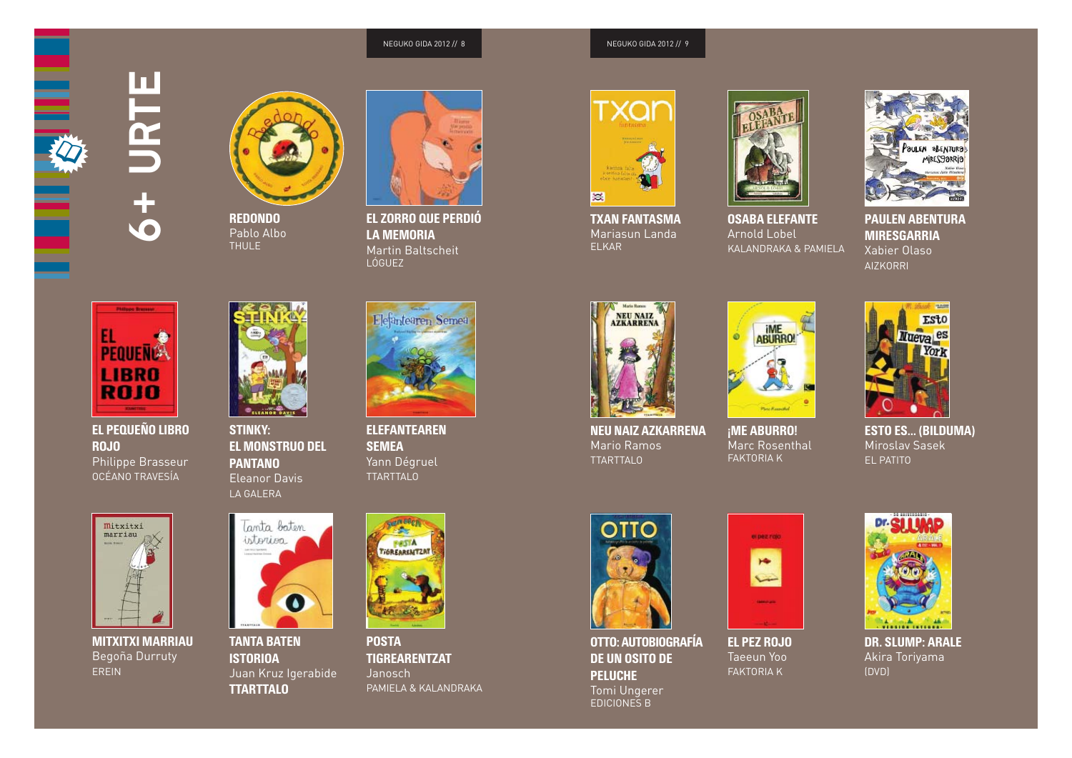NEGUKO GIDA 2012 // 9





**REDONDO**Pablo Albo THULE



**EL ZORRO QUE PERDIÓ LA MEMORIA**Martin Baltscheit LÓGUEZ



**TXAN FANTASMA**Mariasun Landa ELKAR



**OSABA ELEFANTE**Arnold Lobel KALANDRAKA & PAMIELA



**PAULEN ABENTURA MIRESGARRIA**Xabier Olaso AIZKORRI



6+ URTE

**CO** 

**In** 

**EL PEQUEÑO LIBRO ROJO**Philippe Brasseur OCÉANO TRAVESÍA



**MITXITXI MARRIAU**  Begoña Durruty EREIN



**STINKY: EL MONSTRUO DEL PANTANO**Eleanor Davis



### **TANTA BATEN ISTORIOA**  Juan Kruz Igerabide **TTARTTALO**



**ELEFANTEAREN SEMEA**  Yann Dégruel TTARTTALO



**POSTA TIGREARENTZAT**  JanoschPAMIELA & KALANDRAKA



**NEU NAIZ AZKARRENA**  Mario Ramos TTARTTALO



**¡ME ABURRO!**  Marc Rosenthal FAKTORIA K



**ESTO ES… (BILDUMA)** Miroslav Sasek EL PATITO



**OTTO: AUTOBIOGRAFÍA DE UN OSITO DE PELUCHE** Tomi Ungerer EDICIONES B



**EL PEZ ROJO**  Taeeun Yoo FAKTORIA K



**DR. SLUMP: ARALE** Akira Toriyama (DVD)





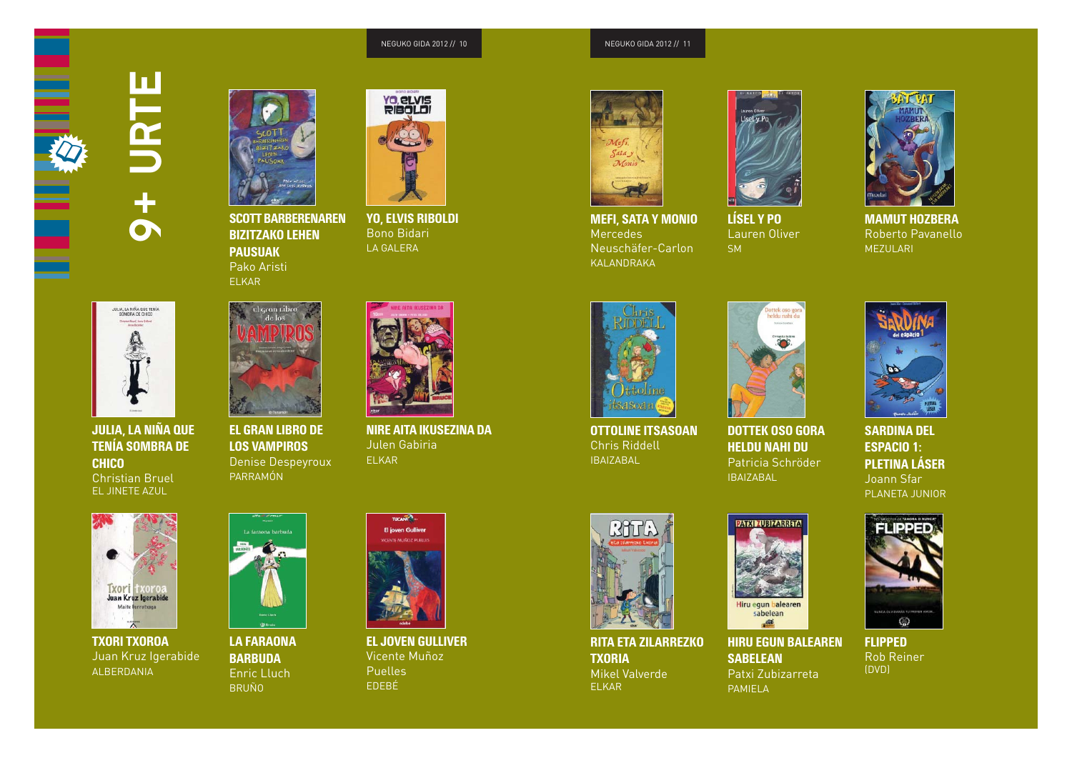NEGUKO GIDA 2012 // 11





**KUAK, KUAK! BADATOR SCOTT BARBERENAREN AHATETXO TXIKIA BIZITZAKO LEHEN** A.K. Birkenstock**PAUSUAK**Pako Aristi ELKAR

el gran tib

**¡RUMMM! ¡RUMMM! EL GRAN LIBRO DE**  Françoise Delebecque **LOS VAMPIROS**  Denise Despeyroux



**LO QUE TIENE QUE YO, ELVIS RIBOLDI APRENDER UN CIEN-**Bono Bidari **PIÉS QUE QUIERA SER** LA GALERA



9+ URTE

 $\ddot{\textbf{r}}$ 

 $\mathbf O$ 

URTE

ш

JULIA, LA NINA QUE TENÍA SOMBRA DE CHICO **CHICO** JULIA, LA NIÑA QUE<br>TENÍA SOMBRA DE Christian Bruel EL JINETE AZUL



**UN POCO PERDIDO TXORI TXOROA**  Juan Kruz Igerabide ALBERDANIA



PARRAMÓN

**365 BESOS LA FARAONA BARBUDA** Enric Lluch BRUÑO



**MUGIMENDU NIRE AITA IKUSEZINA DA** Julen Gabiria III Joan Carles GirbésELKAR



**OLAJ-EN BIDAIA EL JOVEN GULLIVER** Vicente Muñoz a I Puelles **Alandes** EDEBÉ



**LETRA HANDIA MEFI, SATA Y MONIO**  Mercedes Neuschäfer-Carlon KALANDRAKA



**LÍSEL Y PO** Lauren Oliver Daniela MassironiSMMEZULARI**LÍSEL Y PO**  Lauren Oliver



**BRRR MAMUT HOZBERA**  Roberto Pavanello MEZULARI



**ARTURO OTTOLINE ITSASOAN**  Chris Riddell KALANDRAKA BALANDRAKA BA



**RATONCITO SE VISTEDOTTEK OSO GORA HELDU NAHI DU** Patricia Schröder IBAIZABAL



**CRICTORSARDINA DEL ESPACIO 1:** KALANDRAKA **PLETINA LÁSER** Joann Sfar PLANETA JUNIOR



**POZIK RITA ETA ZILARREZKO**  Mies Van Hout**TXORIA**  Mikel Valverde ELKAR



一座

**ORTZI KAMELEOIA HIRU EGUN BALEAREN**   $SABELEAN$ Patxi Zubizarreta PAMIELA



**FLIPPED** Rob Reiner (DVD)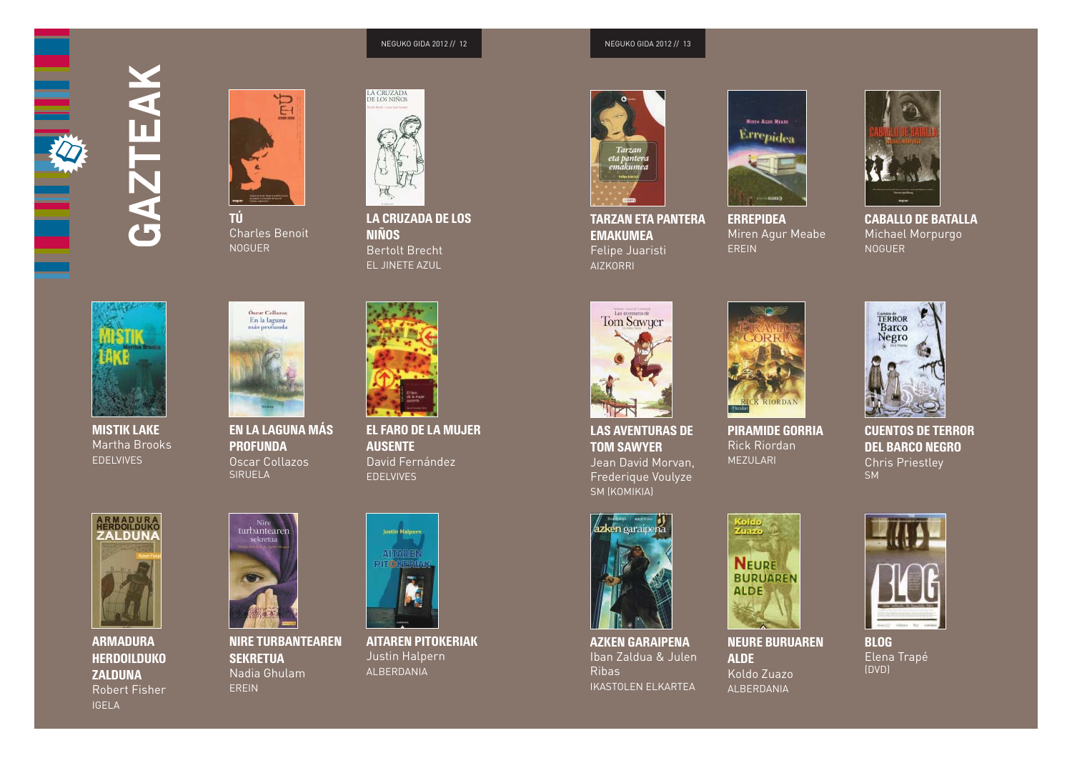NEGUKO GIDA 2012 // 13





**KUAK, KUAK! BADATOR**  Charles Benoit NOGUER **A.K. Birkenstock** 



**IRUDIDUN HIZTEGIA MISTIK LAKE**  Martha Brooks **FDELVIVES** 



SIRUELA



**UN POCO PERDIDO ARMADURA** Chris Haughton **HERDOILDUKO**  MILRAZONES**ZALDUNA** Robert Fisher IGELA



**365 BESOSNIRE TURBANTEAREN SEKRETUA** Nadia Ghulam EREIN

**¡RUMMM! ¡RUMMM! EN LA LAGUNA MÁS**  Françoise Delebecque **PROFUNDA**Oscar Collazos



LA CRUZADA DE LOS **APRENDER UN CIEN-NIÑOS RINOS**<br>Bertolt Brecht **SABIO COMO PERSONAL PEDRO PEDRO PEDAGO PEDAGO PEDAGO PEDAGO PEDAGO PEDAGO PEDAGO PEDAGO PEDAGO PEDAGO PEDAGO PE** EL JINETE AZUL



**MUGIMENDU EL FARO DE LA MUJER HANDIKO EGUNA AUSENTE**  David Fernández EDELVIVES



**OLAJ-EN BIDAIA AITAREN PITOKERIAK**  Justin Halpern Barreto ALBERDANIA



**LETRA HANDIA TARZAN ETA PANTERA (BILDUMA) EMAKUMEA**Felipe Juaristi AIZKORRI



LAS AVENTURAS DE **TOM SAWYER** Jean David Morvan, Frederique Voulyze SM (KOMIKIA)



**POZIK AZKEN GARAIPENA** Iban Zaldua & Julen  $Rihas$ IKASTOLEN ELKARTEA



**ADIVINA QUIÉN ERREPIDEA**Miren Agur Meabe Daniela MassironiEREIN



**BRRR CABALLO DE BATALLA**Michael Morpurgo NOGUER



**RATONCITO SE VISTEPIRAMIDE GORRIA**Rick Riordan MEZULARI



**CRICTOR CUENTOS DE TERROR DEL BARCO NEGRO** Chris Priestley **SM** 



**ORTZI KAMELEOIA NEURE BURUAREN**  Yusuke Yonezu**ALDE** Koldo Zuazo ALBERDANIA



**BLOG** Elena Trapé (DVD)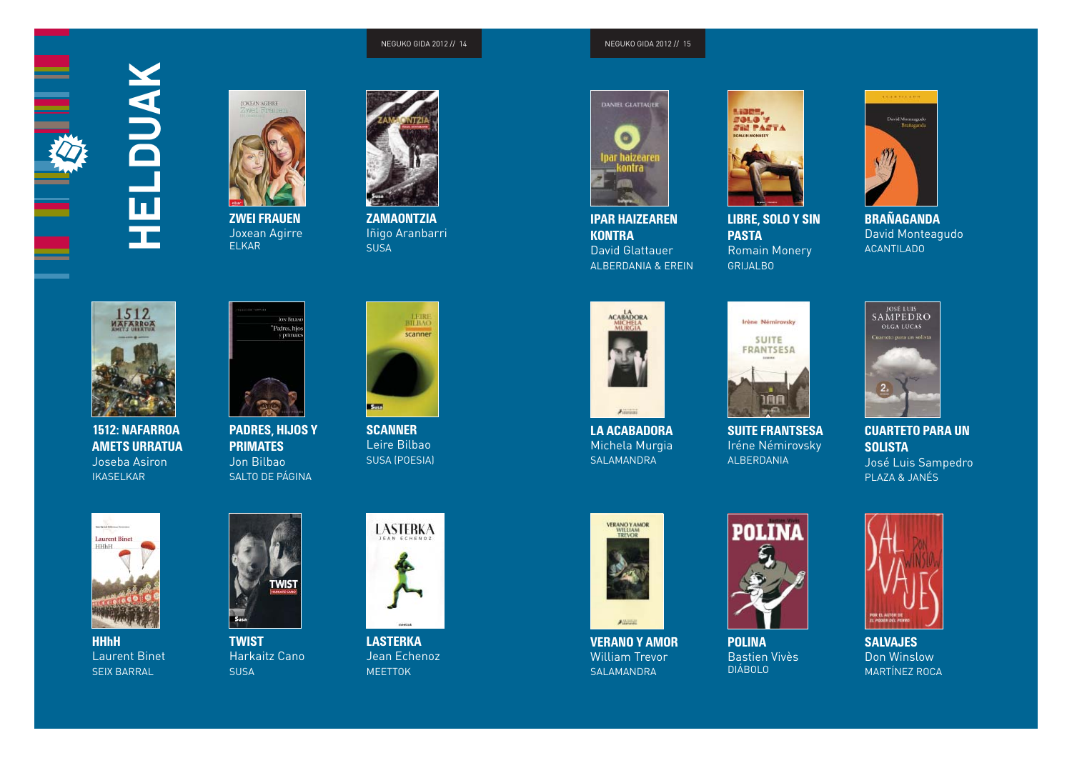NEGUKO GIDA 2012 // 15





**ZWEI FRAUEN**Joxean Agirre ELKAR



**ZAMAONTZIA**Iñigo Aranbarri SUSA



Helduak

꾶

**1512: NAFARROA AMETS URRATUA**Joseba Asiron IKASELKAR



**PADRES, HIJOS Y PRIMATES**  Jon BilbaoSALTO DE PÁGINA



**SCANNER** Leire Bilbao SUSA (POESIA)



**IPAR HAIZEAREN KONTRA** David GlattauerALBERDANIA & EREIN



**LIBRE, SOLO Y SIN PASTA** Romain Monery GRIJALBO



**BRAÑAGANDA** David Monteagudo ACANTILADO



**LA ACABADORA** Michela Murgia SALAMANDRA



**SUITE FRANTSESA**  Iréne Némirovsky ALBERDANIA



**CUARTETO PARA UN SOLISTA**  José Luis Sampedro PLAZA & JANÉS



**HHhH**Laurent Binet SEIX BARRAL



**TWIST**Harkaitz Cano SUSA



**LASTERKA**  Jean Echenoz MEETTOK



**VERANO Y AMOR**  William Trevor SALAMANDRA



**POLINA** Bastien Vivès DIÁBOLO



**SALVAJES** Don Winslow MARTÍNEZ ROCA